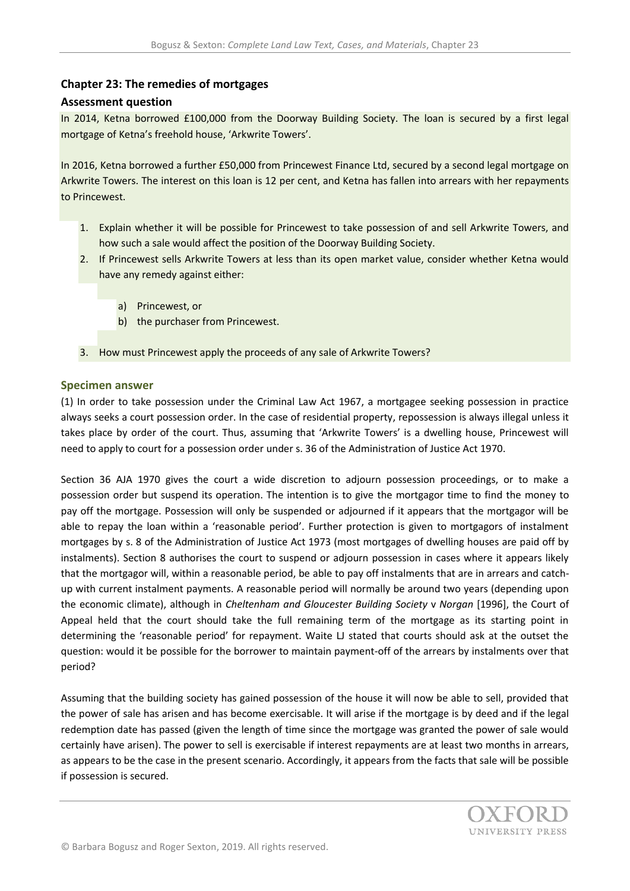# **Chapter 23: The remedies of mortgages**

### **Assessment question**

In 2014, Ketna borrowed £100,000 from the Doorway Building Society. The loan is secured by a first legal mortgage of Ketna's freehold house, 'Arkwrite Towers'.

In 2016, Ketna borrowed a further £50,000 from Princewest Finance Ltd, secured by a second legal mortgage on Arkwrite Towers. The interest on this loan is 12 per cent, and Ketna has fallen into arrears with her repayments to Princewest.

- 1. Explain whether it will be possible for Princewest to take possession of and sell Arkwrite Towers, and how such a sale would affect the position of the Doorway Building Society.
- 2. If Princewest sells Arkwrite Towers at less than its open market value, consider whether Ketna would have any remedy against either:
	- a) Princewest, or
	- b) the purchaser from Princewest.
- 3. How must Princewest apply the proceeds of any sale of Arkwrite Towers?

#### **Specimen answer**

(1) In order to take possession under the Criminal Law Act 1967, a mortgagee seeking possession in practice always seeks a court possession order. In the case of residential property, repossession is always illegal unless it takes place by order of the court. Thus, assuming that 'Arkwrite Towers' is a dwelling house, Princewest will need to apply to court for a possession order under s. 36 of the Administration of Justice Act 1970.

Section 36 AJA 1970 gives the court a wide discretion to adjourn possession proceedings, or to make a possession order but suspend its operation. The intention is to give the mortgagor time to find the money to pay off the mortgage. Possession will only be suspended or adjourned if it appears that the mortgagor will be able to repay the loan within a 'reasonable period'. Further protection is given to mortgagors of instalment mortgages by s. 8 of the Administration of Justice Act 1973 (most mortgages of dwelling houses are paid off by instalments). Section 8 authorises the court to suspend or adjourn possession in cases where it appears likely that the mortgagor will, within a reasonable period, be able to pay off instalments that are in arrears and catchup with current instalment payments. A reasonable period will normally be around two years (depending upon the economic climate), although in *Cheltenham and Gloucester Building Society* v *Norgan* [1996], the Court of Appeal held that the court should take the full remaining term of the mortgage as its starting point in determining the 'reasonable period' for repayment. Waite LJ stated that courts should ask at the outset the question: would it be possible for the borrower to maintain payment-off of the arrears by instalments over that period?

Assuming that the building society has gained possession of the house it will now be able to sell, provided that the power of sale has arisen and has become exercisable. It will arise if the mortgage is by deed and if the legal redemption date has passed (given the length of time since the mortgage was granted the power of sale would certainly have arisen). The power to sell is exercisable if interest repayments are at least two months in arrears, as appears to be the case in the present scenario. Accordingly, it appears from the facts that sale will be possible if possession is secured.